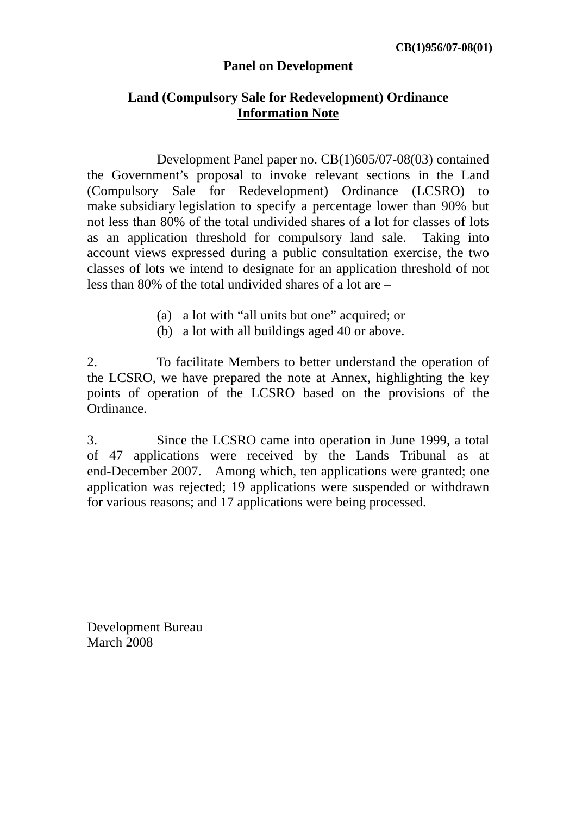#### **Panel on Development**

#### **Land (Compulsory Sale for Redevelopment) Ordinance Information Note**

 Development Panel paper no. CB(1)605/07-08(03) contained the Government's proposal to invoke relevant sections in the Land (Compulsory Sale for Redevelopment) Ordinance (LCSRO) to make subsidiary legislation to specify a percentage lower than 90% but not less than 80% of the total undivided shares of a lot for classes of lots as an application threshold for compulsory land sale. Taking into account views expressed during a public consultation exercise, the two classes of lots we intend to designate for an application threshold of not less than 80% of the total undivided shares of a lot are –

- (a) a lot with "all units but one" acquired; or
- (b) a lot with all buildings aged 40 or above.

2. To facilitate Members to better understand the operation of the LCSRO, we have prepared the note at Annex, highlighting the key points of operation of the LCSRO based on the provisions of the Ordinance.

3. Since the LCSRO came into operation in June 1999, a total of 47 applications were received by the Lands Tribunal as at end-December 2007. Among which, ten applications were granted; one application was rejected; 19 applications were suspended or withdrawn for various reasons; and 17 applications were being processed.

Development Bureau March 2008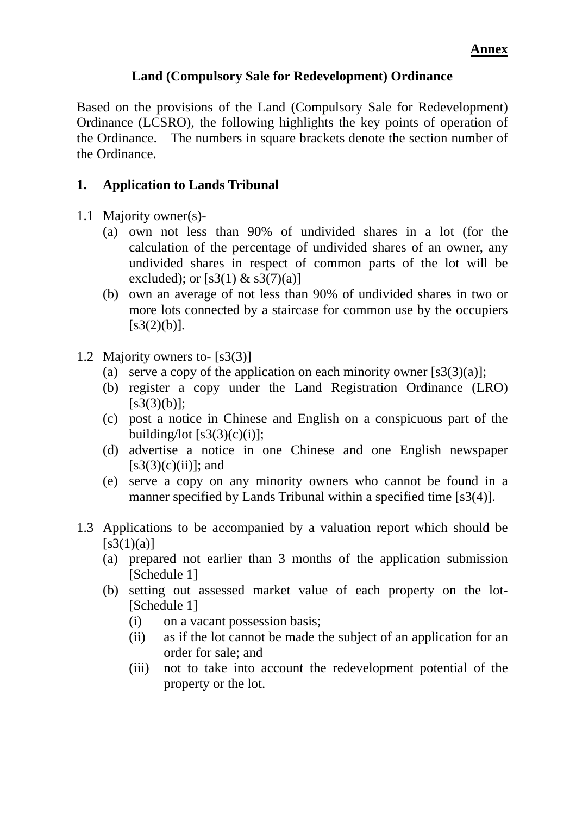## **Land (Compulsory Sale for Redevelopment) Ordinance**

Based on the provisions of the Land (Compulsory Sale for Redevelopment) Ordinance (LCSRO), the following highlights the key points of operation of the Ordinance. The numbers in square brackets denote the section number of the Ordinance.

## **1. Application to Lands Tribunal**

- 1.1 Majority owner(s)-
	- (a) own not less than 90% of undivided shares in a lot (for the calculation of the percentage of undivided shares of an owner, any undivided shares in respect of common parts of the lot will be excluded); or  $[s3(1) \& s3(7)(a)]$
	- (b) own an average of not less than 90% of undivided shares in two or more lots connected by a staircase for common use by the occupiers  $[s3(2)(b)].$
- 1.2 Majority owners to- [s3(3)]
	- (a) serve a copy of the application on each minority owner  $[s3(3)(a)];$
	- (b) register a copy under the Land Registration Ordinance (LRO)  $[s3(3)(b)]$ ;
	- (c) post a notice in Chinese and English on a conspicuous part of the building/lot  $[s3(3)(c)(i)];$
	- (d) advertise a notice in one Chinese and one English newspaper  $[s3(3)(c)(ii)]$ ; and
	- (e) serve a copy on any minority owners who cannot be found in a manner specified by Lands Tribunal within a specified time [s3(4)].
- 1.3 Applications to be accompanied by a valuation report which should be  $[s3(1)(a)]$ 
	- (a) prepared not earlier than 3 months of the application submission [Schedule 1]
	- (b) setting out assessed market value of each property on the lot- [Schedule 1]
		- (i) on a vacant possession basis;
		- (ii) as if the lot cannot be made the subject of an application for an order for sale; and
		- (iii) not to take into account the redevelopment potential of the property or the lot.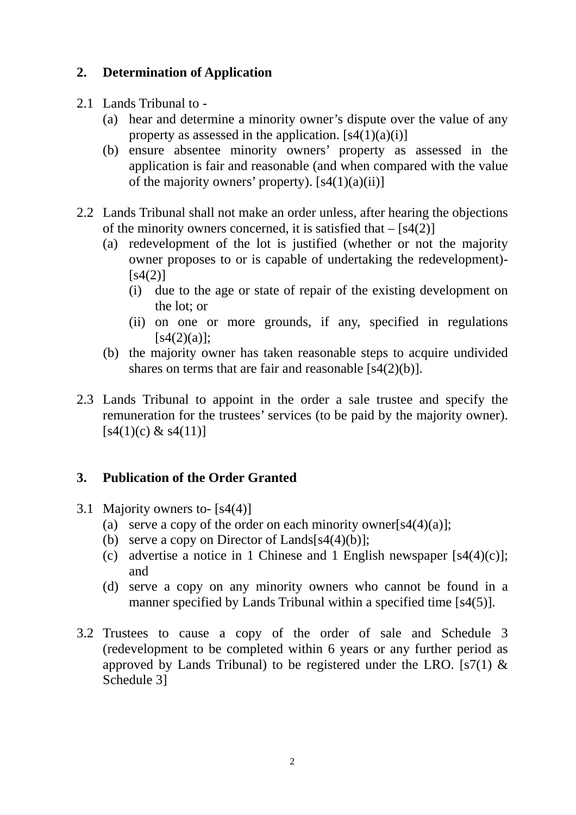# **2. Determination of Application**

- 2.1 Lands Tribunal to
	- (a) hear and determine a minority owner's dispute over the value of any property as assessed in the application.  $[s4(1)(a)(i)]$
	- (b) ensure absentee minority owners' property as assessed in the application is fair and reasonable (and when compared with the value of the majority owners' property).  $[s4(1)(a)(ii)]$
- 2.2 Lands Tribunal shall not make an order unless, after hearing the objections of the minority owners concerned, it is satisfied that  $-[s4(2)]$ 
	- (a) redevelopment of the lot is justified (whether or not the majority owner proposes to or is capable of undertaking the redevelopment)-  $[s4(2)]$ 
		- (i) due to the age or state of repair of the existing development on the lot; or
		- (ii) on one or more grounds, if any, specified in regulations  $[s4(2)(a)]$ ;
	- (b) the majority owner has taken reasonable steps to acquire undivided shares on terms that are fair and reasonable [s4(2)(b)].
- 2.3 Lands Tribunal to appoint in the order a sale trustee and specify the remuneration for the trustees' services (to be paid by the majority owner).  $[s4(1)(c) \& s4(11)]$

# **3. Publication of the Order Granted**

- 3.1 Majority owners to- [s4(4)]
	- (a) serve a copy of the order on each minority owner[s4(4)(a)];
	- (b) serve a copy on Director of Lands $[s4(4)(b)]$ ;
	- (c) advertise a notice in 1 Chinese and 1 English newspaper  $[s4(4)(c)]$ ; and
	- (d) serve a copy on any minority owners who cannot be found in a manner specified by Lands Tribunal within a specified time [s4(5)].
- 3.2 Trustees to cause a copy of the order of sale and Schedule 3 (redevelopment to be completed within 6 years or any further period as approved by Lands Tribunal) to be registered under the LRO. [s7(1)  $\&$ Schedule 3]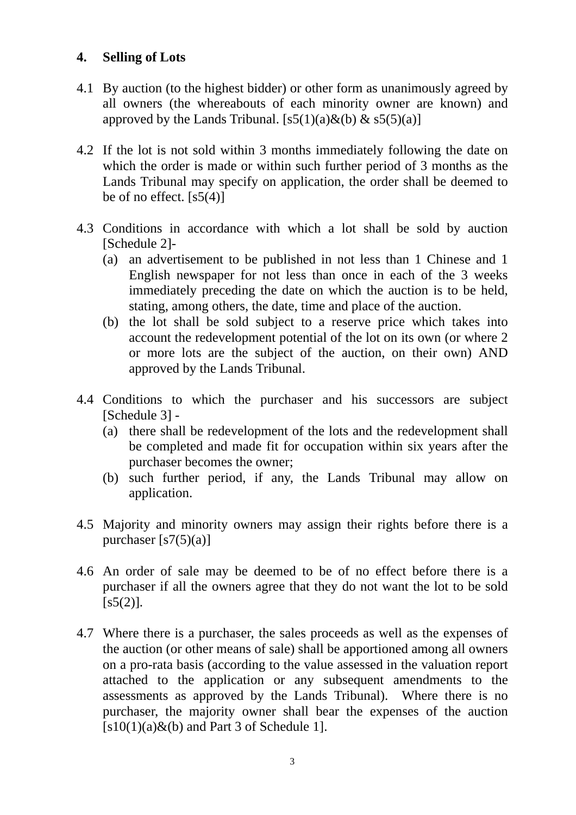# **4. Selling of Lots**

- 4.1 By auction (to the highest bidder) or other form as unanimously agreed by all owners (the whereabouts of each minority owner are known) and approved by the Lands Tribunal.  $[s5(1)(a) \& (b) \& s5(5)(a)]$
- 4.2 If the lot is not sold within 3 months immediately following the date on which the order is made or within such further period of 3 months as the Lands Tribunal may specify on application, the order shall be deemed to be of no effect.  $[s5(4)]$
- 4.3 Conditions in accordance with which a lot shall be sold by auction [Schedule 2]-
	- (a) an advertisement to be published in not less than 1 Chinese and 1 English newspaper for not less than once in each of the 3 weeks immediately preceding the date on which the auction is to be held, stating, among others, the date, time and place of the auction.
	- (b) the lot shall be sold subject to a reserve price which takes into account the redevelopment potential of the lot on its own (or where 2 or more lots are the subject of the auction, on their own) AND approved by the Lands Tribunal.
- 4.4 Conditions to which the purchaser and his successors are subject [Schedule 3] -
	- (a) there shall be redevelopment of the lots and the redevelopment shall be completed and made fit for occupation within six years after the purchaser becomes the owner;
	- (b) such further period, if any, the Lands Tribunal may allow on application.
- 4.5 Majority and minority owners may assign their rights before there is a purchaser  $[s7(5)(a)]$
- 4.6 An order of sale may be deemed to be of no effect before there is a purchaser if all the owners agree that they do not want the lot to be sold  $[s5(2)].$
- 4.7 Where there is a purchaser, the sales proceeds as well as the expenses of the auction (or other means of sale) shall be apportioned among all owners on a pro-rata basis (according to the value assessed in the valuation report attached to the application or any subsequent amendments to the assessments as approved by the Lands Tribunal). Where there is no purchaser, the majority owner shall bear the expenses of the auction  $[s10(1)(a) \& (b)$  and Part 3 of Schedule 1].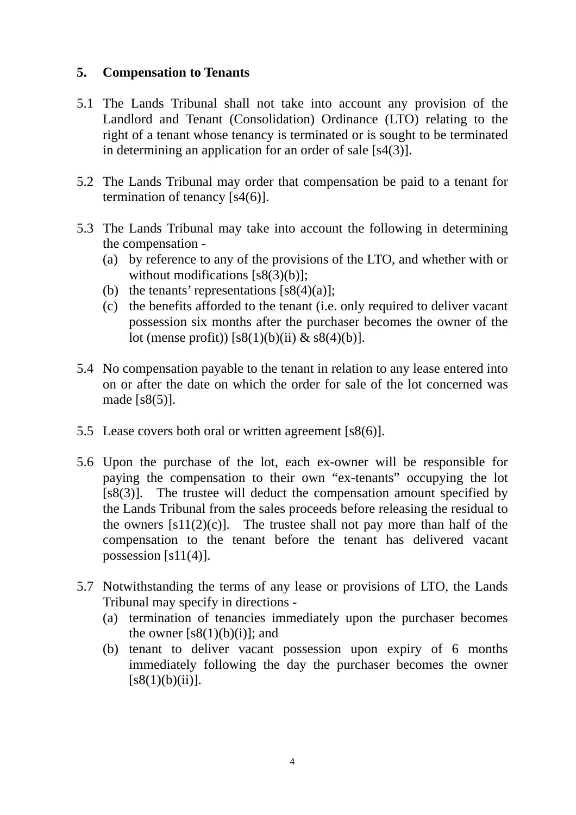# **5. Compensation to Tenants**

- 5.1 The Lands Tribunal shall not take into account any provision of the Landlord and Tenant (Consolidation) Ordinance (LTO) relating to the right of a tenant whose tenancy is terminated or is sought to be terminated in determining an application for an order of sale [s4(3)].
- 5.2 The Lands Tribunal may order that compensation be paid to a tenant for termination of tenancy [s4(6)].
- 5.3 The Lands Tribunal may take into account the following in determining the compensation -
	- (a) by reference to any of the provisions of the LTO, and whether with or without modifications [s8(3)(b)];
	- (b) the tenants' representations  $[s8(4)(a)]$ ;
	- (c) the benefits afforded to the tenant (i.e. only required to deliver vacant possession six months after the purchaser becomes the owner of the lot (mense profit))  $[s8(1)(b)(ii) \& 8(4)(b)].$
- 5.4 No compensation payable to the tenant in relation to any lease entered into on or after the date on which the order for sale of the lot concerned was made  $[s8(5)]$ .
- 5.5 Lease covers both oral or written agreement [s8(6)].
- 5.6 Upon the purchase of the lot, each ex-owner will be responsible for paying the compensation to their own "ex-tenants" occupying the lot [s8(3)]. The trustee will deduct the compensation amount specified by the Lands Tribunal from the sales proceeds before releasing the residual to the owners  $[s11(2)(c)]$ . The trustee shall not pay more than half of the compensation to the tenant before the tenant has delivered vacant possession  $[s11(4)].$
- 5.7 Notwithstanding the terms of any lease or provisions of LTO, the Lands Tribunal may specify in directions -
	- (a) termination of tenancies immediately upon the purchaser becomes the owner  $[s8(1)(b)(i)]$ ; and
	- (b) tenant to deliver vacant possession upon expiry of 6 months immediately following the day the purchaser becomes the owner  $[s8(1)(b)(ii)].$